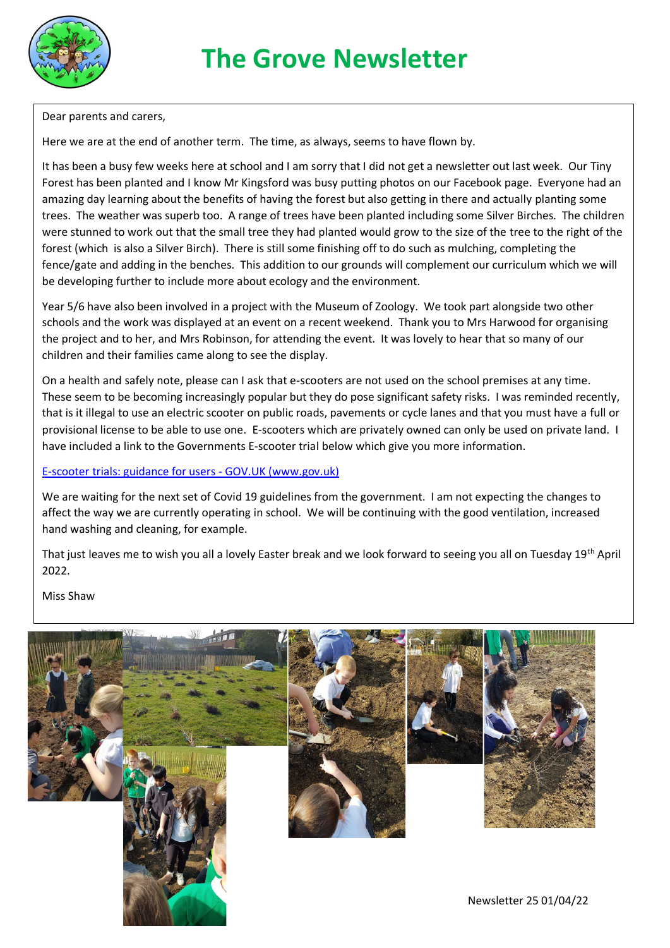

Dear parents and carers,

Here we are at the end of another term. The time, as always, seems to have flown by.

It has been a busy few weeks here at school and I am sorry that I did not get a newsletter out last week. Our Tiny Forest has been planted and I know Mr Kingsford was busy putting photos on our Facebook page. Everyone had an amazing day learning about the benefits of having the forest but also getting in there and actually planting some trees. The weather was superb too. A range of trees have been planted including some Silver Birches. The children were stunned to work out that the small tree they had planted would grow to the size of the tree to the right of the forest (which is also a Silver Birch). There is still some finishing off to do such as mulching, completing the fence/gate and adding in the benches. This addition to our grounds will complement our curriculum which we will be developing further to include more about ecology and the environment.

Year 5/6 have also been involved in a project with the Museum of Zoology. We took part alongside two other schools and the work was displayed at an event on a recent weekend. Thank you to Mrs Harwood for organising the project and to her, and Mrs Robinson, for attending the event. It was lovely to hear that so many of our children and their families came along to see the display.

On a health and safely note, please can I ask that e-scooters are not used on the school premises at any time. These seem to be becoming increasingly popular but they do pose significant safety risks. I was reminded recently, that is it illegal to use an electric scooter on public roads, pavements or cycle lanes and that you must have a full or provisional license to be able to use one. E-scooters which are privately owned can only be used on private land. I have included a link to the Governments E-scooter trial below which give you more information.

## [E-scooter trials: guidance for users -](https://www.gov.uk/guidance/e-scooter-trials-guidance-for-users) GOV.UK (www.gov.uk)

We are waiting for the next set of Covid 19 guidelines from the government. I am not expecting the changes to affect the way we are currently operating in school. We will be continuing with the good ventilation, increased hand washing and cleaning, for example.

That just leaves me to wish you all a lovely Easter break and we look forward to seeing you all on Tuesday 19th April 2022.

Miss Shaw

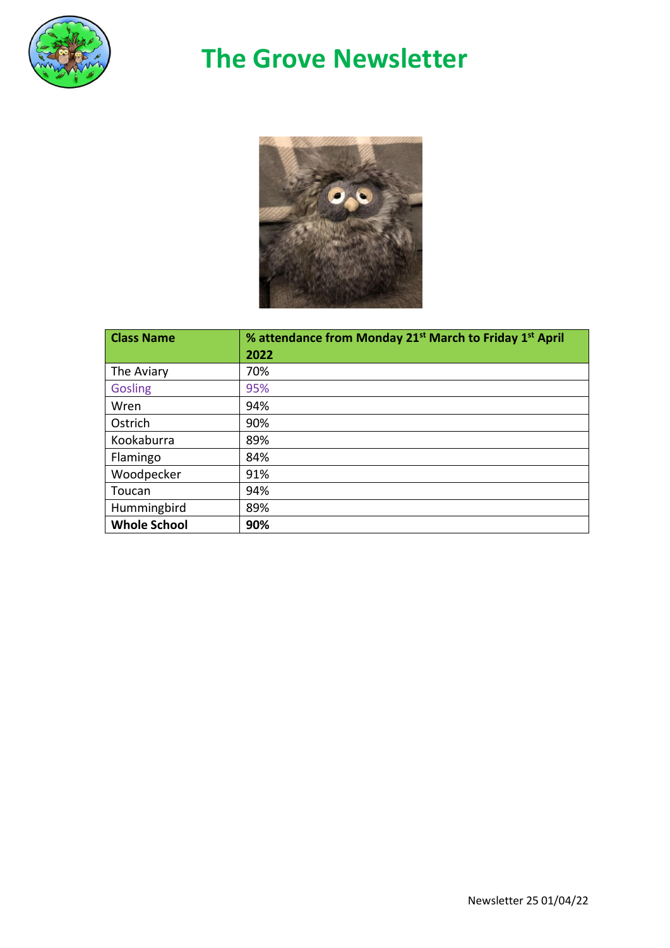

## **The Grove Newsletter**



| <b>Class Name</b>   | % attendance from Monday 21 <sup>st</sup> March to Friday 1 <sup>st</sup> April |
|---------------------|---------------------------------------------------------------------------------|
|                     | 2022                                                                            |
| The Aviary          | 70%                                                                             |
| <b>Gosling</b>      | 95%                                                                             |
| Wren                | 94%                                                                             |
| Ostrich             | 90%                                                                             |
| Kookaburra          | 89%                                                                             |
| Flamingo            | 84%                                                                             |
| Woodpecker          | 91%                                                                             |
| Toucan              | 94%                                                                             |
| Hummingbird         | 89%                                                                             |
| <b>Whole School</b> | 90%                                                                             |